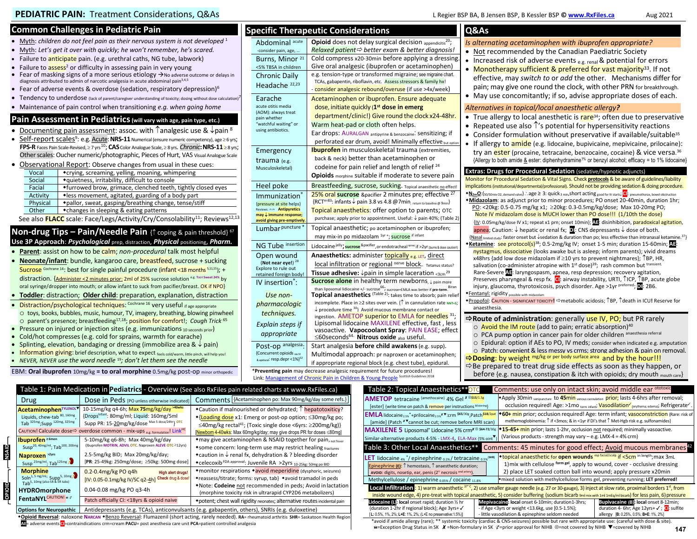# **Common Challenges in Pediatric Pain**

- Myth: *children do not feel pain as their nervous system is not developed*<sup>1</sup>
- Myth: *Let's get it over with quickly; he won't remember, he's scared.*
- Failure to anticipate pain. (e.g. urethral caths, NG tube, labwork)
- Failure to assess<sup>2</sup> or difficulty in assessing pain in very young
- Fear of masking signs of a more serious etiology  $\rightarrow$  No adverse outcome or delays in diagnosis attributed to admin of narcotic analgesia in acute abdominal pain<sup>3,4,5</sup>
- Fear of adverse events & overdose (sedation, respiratory depression)<sup>6</sup>
- Tendency to underdose (lack of parent/caregiver understanding of toxicity; dosing without dose calculation)
- Maintenance of pain control when transitioning *e.g. when going home*

## **Pain Assessment in Pediatrics (will vary with age, pain type, etc.)**

- Documenting pain assessment: assoc. with  $\hat{\tau}$  analgesic use &  $\hat{\psi}$  pain  $^8$
- Self-report scales<sup>9</sup>: e.g. Acute: NRS-11 Numerical (ensure numeric competency), age≥6 yrs; **FPS-R** Faces Pain Scale-Revised, ≥ 7 yrs<sup>10</sup>; **CAS** Color Analogue Scale, ≥ 8 yrs. *Chronic***: NRS-11** ≥ 8 yrs; Other scales: Oucher numeric/photographic, Pieces of Hurt, VAS Visual Analogue Scale

| • Observational Report: Observe changes from usual in these cues: |                                                                                             |                                                              |  |  |
|-------------------------------------------------------------------|---------------------------------------------------------------------------------------------|--------------------------------------------------------------|--|--|
|                                                                   | Vocal                                                                                       | ◆crying, screaming, yelling, moaning, whimpering             |  |  |
|                                                                   | Social                                                                                      | *quietness, irritability, difficult to console               |  |  |
|                                                                   | Facial                                                                                      | ◆furrowed brow, grimace, clenched teeth, tightly closed eyes |  |  |
|                                                                   | <b>Activity</b>                                                                             | • less movement, agitated, guarding of a body part           |  |  |
|                                                                   | Physical                                                                                    | ◆pallor, sweat, gasping/breathing change, tense/stiff        |  |  |
|                                                                   | Other                                                                                       | • changes in sleeping & eating patterns                      |  |  |
|                                                                   | See also <b>ELACC</b> scale: Ease/Logs/Activity/Cny/Consolability/11: Poviews <sup>12</sup> |                                                              |  |  |

See also **FLACC** scale: Face/Legs/Activity/Cry/Consolability<sup>11</sup>; Reviews<sup>12,13</sup>

## **Non-drug Tips – Pain/Needle Pain** { $\uparrow$  coping & pain threshold}<sup>67</sup> **Use 3P Approach**: *Psychological* prep, distraction, *Physical* positioning, *Pharm.*

- **Parent**: assist on how to be calm; *non-procedural* talk most helpful
- **Neonate/infant**: bundle, kangaroo care, breastfeed, sucrose + sucking Sucrose Cochrane 14: best for single painful procedure ( $\frac{\text{infant}}{\text{const}}$  <18 months  $5,11,15$ ); + distraction. {Administer <2 minutes prior: 2ml of 25% sucrose solution <sup>e.g. Toor Sweet 24% by</sup> oral syringe/dropper into mouth; or allow infant to suck from pacifier/breast. OK if NPO}
- **Toddler**: distraction; **Older child**: preparation, explanation, distraction
- Distraction/psychological techniques: Cochrane 16 very useful if age appropriate o toys, books, bubbles, music, humour, TV, imagery, breathing, blowing pinwheel o parent's presence; breastfeeding17,18; position for comfort!; *Cough Trick* <sup>65</sup>
- Pressure on injured or injection sites (e.g. immunizations 10 seconds prior)
- Cold/hot compresses (e.g. cold for sprains, warmth for earache)
- Splinting, elevation, bandaging or dressing (immobilize area  $\& \downarrow$  pain)
- Information giving: brief description, what to expect feels cold/warm, little pinch, will help you!
- *NEVER, NEVER use the word needle* 19*; don't let them see the needle*

**OPIOID NSAID**

**GIORD** 

**AISAID** 

EBM: **Oral ibuprofen** 10mg/kg **= to oral morphine** 0.5mg/kg post-op minor orthopedic

**AE**= adverse events **CI**=contraindications crm=cream **PACU**= post anesthesia care unit **PCA**=patient controlled analgesia

| Abdominal acute                                                  | Opioid does not delay surgical decision appendicitis <sup>20</sup> ;                                                                                                                    |
|------------------------------------------------------------------|-----------------------------------------------------------------------------------------------------------------------------------------------------------------------------------------|
| -consider pain, age,                                             | Relaxed patient $\Rightarrow$ better exam & better diagnosis!                                                                                                                           |
| Burns, Minor <sup>21</sup>                                       | Cold compress x20-30min before applying a dressing.                                                                                                                                     |
| <5% TBSA in children                                             | Give oral analgesic (ibuprofen or acetaminophen)                                                                                                                                        |
| <b>Chronic Daily</b>                                             | e.g. tension-type or transformed migraine; see migraine chart.                                                                                                                          |
| Headache <sup>22,23</sup>                                        | TCAs, gabapentin, riboflavin, etc. Assess stressors & family hx!<br>- consider analgesic rebound/overuse (if use >4x/week)                                                              |
|                                                                  |                                                                                                                                                                                         |
| Earache<br>acute otitis media                                    | Acetaminophen or ibuprofen. Ensure adequate                                                                                                                                             |
| (AOM): always treat                                              | dose, initiate quickly (1 <sup>st</sup> dose in emerg                                                                                                                                   |
| pain whether                                                     | department/clinic!) Give round the clock x24-48hr.                                                                                                                                      |
| "watchful waiting" or<br>using antibiotics.                      | Warm heat-pad or cloth often helps.                                                                                                                                                     |
|                                                                  | Ear drops: AURALGAN antipyrine & benzocaine: sensitizing; if                                                                                                                            |
|                                                                  | perforated ear drum, avoid! Minimally effective but option                                                                                                                              |
| Emergency                                                        | <b>Ibuprofen</b> in musculoskeletal trauma (extremities,                                                                                                                                |
| trauma (e.g.                                                     | back & neck) better than acetaminophen or                                                                                                                                               |
| Musculoskeletal)                                                 | codeine for pain relief and length of relief <sup>24</sup>                                                                                                                              |
|                                                                  | Opioids morphine suitable if moderate to severe pain                                                                                                                                    |
| Heel poke                                                        | Breastfeeding, sucrose, sucking. Topical anaesthetic no effect!                                                                                                                         |
| Immunization <sup>®</sup>                                        | 25% oral sucrose & pacifier 2 minutes pre; effective 27                                                                                                                                 |
| {pressure at site helps}                                         | {RCT <sup>n=83</sup> : infants $\downarrow$ pain 3.8 vs 4.8 @7min; return to baseline @ 9min}                                                                                           |
| Reviews: 25,26 Antipyretics<br>$may \downarrow$ immune response; | <b>Topical anaesthetics:</b> offer option to parents; OTC                                                                                                                               |
| avoid giving pre-emptively                                       | purchase; apply prior to appointment. Useful: ↓ pain 40%; (Table 2)                                                                                                                     |
| Lumbar puncture                                                  | Topical anaesthetic; po acetaminophen or ibuprofen;                                                                                                                                     |
|                                                                  | may mix-in po midazolam <sup>1yr+</sup> ; <b>sucrose</b> If infant                                                                                                                      |
| NG Tube insertion                                                | Lidocaine jelly; sucrose & pacifier, or endotracheal spray if >2yr (burns & dose caution!)                                                                                              |
| Open wound                                                       | Anaesthetics: administer <b>topically e.g. LET, direct</b>                                                                                                                              |
| (Not near eye!) <sup>28</sup>                                    | local infiltration or regional nerve block. Tetanus status?                                                                                                                             |
| Explore to rule out<br>retained foreign body!                    | Tissue adhesive: $\downarrow$ pain in simple laceration $\ltimes$ 3cm <sup>29</sup>                                                                                                     |
| IV insertion <sup>7</sup> :                                      | <b>Sucrose alone</b> in healthy term newborns, $\downarrow$ pain more                                                                                                                   |
|                                                                  | than liposomal lidiocaine +/- sucrose <sup>66</sup> , sucrose+EMLA was better if pre-term. <sup>Biran</sup><br><b>Topical anaesthetics</b> (Table 2): takes time to absorb; pain relief |
| Use non-                                                         |                                                                                                                                                                                         |
| pharmacologic                                                    | incomplete. Place in $\geq$ 2 sites over vein. { $\uparrow$ in cannulation rate $_{NNT=5}$ ;<br>procedure time 30} Avoid mucous membrane contact or                                     |
| techniques.                                                      | ingestion. AMETOP superior to EMLA for needles 31;                                                                                                                                      |
| Explain steps if                                                 | Lipisomal lidocaine MAXILENE effective, fast, less                                                                                                                                      |
| appropriate                                                      | vasoactive. Vapocoolant Spray: PAIN EASE; effect                                                                                                                                        |
|                                                                  | ≤60seconds <sup>64</sup> Nitrous oxide also useful.                                                                                                                                     |
| Post-op analgesia.                                               | Start analgesia before child awakens (e.g. supp).                                                                                                                                       |
| {Concurrent opioids vialv<br>& epidural: resp.depr <1%}32        | Multimodal approach: pr naproxen or acetaminophen;                                                                                                                                      |
|                                                                  | if appropriate regional block (e.g. chest tube), epidural.                                                                                                                              |
|                                                                  |                                                                                                                                                                                         |
|                                                                  | *Preventing pain may decrease analgesic requirement for future procedures!<br>Link: Management of Chronic Pain in Children & Young People Scottish Guidelines 2018                      |

Table

 $AMETC$  $[ester]$ 

 $EMLA$  lidocaine<sub>2.5%</sub>\*+prilocaine<sub>2.5%</sub>  $x \overline{v}$ :crm <sup>\$65/30g</sup>,Patch<sup>\$18/2pat</sup> [amide] (Patch <sup>x</sup> vannot be cut; remove before MRI scan)

**MAXILENE 5** Liposomal<sup>\*</sup> Lidocaine 5% crm<sup>x ⊗ \$64-72/30g</sup> imilar-alternative products 4-5% - LMX-4, ELA-Max  $45\%$  oint $^{\blacktriangledown}$ 

LET lidocaine <sub>4%</sub> \*/ epinephrine <sub>0.1%</sub>/ tetracaine <sub>0.5%</sub><sup>(SHF</sup>

Epinephrine **(E)**:  $\uparrow$  hemostasis,  $\uparrow$  anaesthetic duration; AVOID: digits, nosetip, ear, penis (2° necrosis <sup>end artery</sup>)

**Lidocaine (L): local** onset rapid; duration ½ hr

|                                                                                                                                                                                                                                                                                                                                                                                                                                                                                                                                                                                                                                                              | Q&As                                                                                                                                                                                                                                                                                                                                                                                                                                                                                                                                                                                                                                                                                                                                                                                                                                                                                                                                                                                                                                                                                                                                                                                                                                                                                                                                                                                                                                                                                                                                                                                                                                                                                                                                                                                                                                                                      |
|--------------------------------------------------------------------------------------------------------------------------------------------------------------------------------------------------------------------------------------------------------------------------------------------------------------------------------------------------------------------------------------------------------------------------------------------------------------------------------------------------------------------------------------------------------------------------------------------------------------------------------------------------------------|---------------------------------------------------------------------------------------------------------------------------------------------------------------------------------------------------------------------------------------------------------------------------------------------------------------------------------------------------------------------------------------------------------------------------------------------------------------------------------------------------------------------------------------------------------------------------------------------------------------------------------------------------------------------------------------------------------------------------------------------------------------------------------------------------------------------------------------------------------------------------------------------------------------------------------------------------------------------------------------------------------------------------------------------------------------------------------------------------------------------------------------------------------------------------------------------------------------------------------------------------------------------------------------------------------------------------------------------------------------------------------------------------------------------------------------------------------------------------------------------------------------------------------------------------------------------------------------------------------------------------------------------------------------------------------------------------------------------------------------------------------------------------------------------------------------------------------------------------------------------------|
| sical decision appendicitis <sup>20</sup> ;<br>xam & better diagnosis!<br>efore applying a dressing.<br>fen or acetaminophen)<br>ed migraine; see migraine chart.<br>Assess stressors & family hx!<br><mark>overuse</mark> (if use >4x/week)<br>fen. Ensure adequate                                                                                                                                                                                                                                                                                                                                                                                         | Is alternating acetaminophen with ibuprofen appropriate?<br>Not recommended by the Canadian Paediatric Society<br>Increased risk of adverse events e.g. renal & potential for errors<br>$\bullet$<br>Monotherapy sufficient & preferred for vast majority <sup>33</sup> . If not<br>$\bullet$<br>effective, may switch to or add the other. Mechanisms differ for<br>pain; may give one round the clock, with other PRN for breakthrough.<br>May use concomitantly; if so, advise appropriate doses of each.                                                                                                                                                                                                                                                                                                                                                                                                                                                                                                                                                                                                                                                                                                                                                                                                                                                                                                                                                                                                                                                                                                                                                                                                                                                                                                                                                              |
| ose in emerg<br>round the clock x24-48hr.<br>ften helps.<br>e & benzocaine. Sensitizing; if<br>l! Minimally effective <sub>but option</sub><br>etal trauma (extremities,<br>cetaminophen or<br>d length of relief <sup>24</sup><br>noderate to severe pain                                                                                                                                                                                                                                                                                                                                                                                                   | Alternatives in topical/local anaesthetic allergy?<br>True allergy to local anesthetic is rare <sup>34</sup> ; often due to preservative<br>Repeated use also $\uparrow$ 's potential for hypersensitivity reactions<br>Consider formulation without preservative if available/suitable <sup>35</sup><br>If allergy to <b>amide</b> (e.g. lidocaine, bupivicaine, mepivicaine, prilocaine):<br>$\bullet$<br>try an <i>ester</i> (procaine, tetracaine, benzocaine, cocaine) & vice versa. <sup>36</sup><br>{Allergy to both amide $\underline{8}$ ester: diphenhydramine <sup>1%</sup> or benzyl alcohol; efficacy = to 1% lidocaine}<br>Extras: Drugs for Procedural Sedation (sedative/hypnotic adjuncts)                                                                                                                                                                                                                                                                                                                                                                                                                                                                                                                                                                                                                                                                                                                                                                                                                                                                                                                                                                                                                                                                                                                                                               |
| Cking. Topical anaesthetic no effect!<br>minutes pre; effective 27<br>$.8\,\omega$ 7 min <sub>; return to baseline <math>\omega</math> 9 min<math>\}</math></sub><br>option to parents; OTC<br>nent. Useful: ↓ pain 40%; (Table 2)<br>taminophen or ibuprofen;<br>*; sucrose if infant<br>dotracheal spray if >2yr (burns & dose caution!)<br><u>opically e.g. LET, direct</u><br>al nerve block. Tetanus status?<br>simple laceration <3cm <sup>29</sup><br>erm newborns, ↓ pain more<br>sucrose+EMLA was better if pre-term. Biran<br>: takes time to absorb; pain relief<br>vein. $\{\uparrow$ in cannulation rate $_{NNT=5}$ ;<br>us membrane contact or | Monitor for Procedural Sedation & Vital Signs. Check <b>protocols</b> & be aware of guidelines/liability<br>implications (institutional/departmental/professional). Should not be providing sedation & doing procedure.<br>◆N <sub>2m</sub> O:( <sub>50/50mix O2, demand valve</sub> )∴age ≥ 3: quick <sub>3 min</sub> , short acting <sub>good for</sub> N starts, CI: pneumothorax, bowel obstruction<br>*Midazolam: as adjunct prior to minor procedures; PO onset 20-40min, duration 1hr;<br>PO: <20kg: 0.5-0.75 mg/kg x1; ≥20kg: 0.3-0.5mg/kg/dose; Max 10-20mg PO;<br>Note IV midazolam dose is MUCH lower than PO dose!!! (1/10th the dose)<br>{IV: 0.05mg/kg/dose IV x1; repeat x1 prn; onset 10min}; <b>AE</b> : disinhibition, paradoxical agitation,<br>apnea; Caution: $\downarrow$ hepatic or renal fx; <b>DI</b> : CNS depressants $\downarrow$ dose of both.<br>{Nasal limited study: faster onset but $\downarrow$ sedation & duration than po; less effective than intranasal ketamine. <sup>37</sup> }<br>*Ketamine: see protocol(s) <sup>38</sup> ; 0.5-2mg/kg IV; onset 1-5 min; duration 15-60min; AE;<br>nystagmus, dissociative (looks awake but is asleep; inform parents); vivid dreams<br>x48hrs {add low dose midazolam if $\geq$ 10 yrs to prevent nightmares}; TBP, HR,<br>salivation (co-administer atropine with 1 <sup>st</sup> dose) <sup>39</sup> ; rash common but transient.<br>Rare-Severe <b>AT:</b> laryngospasm, apnea, resp depression; recovery agitation,<br>Preserves pharyngeal & resp fx. C: airway instability, URTI, TICP, TBP, acute globe<br>injury, glaucoma, thyrotoxicosis, psych disorder. Age >1yr $\text{preferred}$ ; 01: 2B6.<br>◆ Fentanyl: rigidity possible with midazolam<br>*Propofol: CAUTION - SIGNIFICANT TOXICITY! ⇔metabolic acidosis; 1 <sup>8</sup> BP, 1 death in ICU! Reserve for<br>anaesthesia. |
| r to EMLA for needles <sup>31</sup> ;<br>LENE effective, fast, less<br><b>Spray: PAIN EASE; effect</b><br>r <b>ide</b> <sub>also</sub> useful.<br><b>d awakens</b> (e.g. supp).<br>aproxen or acetaminophen;<br>e.g. chest tube), epidural.<br>future procedures!<br><b>Pople</b> Scottish Guidelines 2018<br>2: Topical Anaesthetics**OTC                                                                                                                                                                                                                                                                                                                   | $\Rightarrow$ <b>Route of administration</b> : generally use IV, PO; but PR rarely<br>$\circ$ Avoid the IM route (add to pain; erratic absorption) <sup>40</sup><br>O PCA pump option in cancer pain for older children anaesthesia referral<br>O Epidural: option if AEs to PO, IV meds; consider when indicated e.g. amputation<br>O Patch: convenient & less messy vs crms; strong adhesion & pain on removal.<br>→ Dosing: by weight mg/kg or per body surface area and by the hour!!!<br>⇒Be prepared to treat drug side effects as soon as they happen, or<br>before {e.g. nausea, constipation & itch with opioids; dry mouth mouth care}<br>Comments: use only on intact skin; avoid middle ear <sup>ototoxic</sup>                                                                                                                                                                                                                                                                                                                                                                                                                                                                                                                                                                                                                                                                                                                                                                                                                                                                                                                                                                                                                                                                                                                                               |
| P tetracaine (amethocaine) 4% Gel <sup>x ® \$15/1.5g</sup><br>[write time on patch & remove per instructions blistering]                                                                                                                                                                                                                                                                                                                                                                                                                                                                                                                                     | *Apply 30min <sub>venipuncture</sub> to <b>45min</b> venous cannulation prior; lasts 4-6hrs after removal;<br>occlusion required! Age: >1mo term infant; Vasodilation (erythema; edema); Refrigerate '.                                                                                                                                                                                                                                                                                                                                                                                                                                                                                                                                                                                                                                                                                                                                                                                                                                                                                                                                                                                                                                                                                                                                                                                                                                                                                                                                                                                                                                                                                                                                                                                                                                                                   |

**60+ min** prior; occlusion required! Age: term infant; **vasoconstriction** {Rare: risk of methemoglobinemia:  $\uparrow$  if <3mos; & in <1yr if DI's that  $\uparrow$  Met-Hgb risk e.g. sulfonamides}

**15-45+** min prior; lasts 1-2hr, occlusion not required; minimally vasoactive.

**topical anaesthetic for open wounds** esp facial/scalp if <5cm in length; max 3mL 1)mix with cellulose **form gel**, apply to wound, cover - occlusive dressing 2) place LET soaked cotton ball into wound; apply pressure x20min

(Various products - strength may vary – e.g. LMX-4 = 4% crm)

| Table 1: Pain Medication in <b>Pediatrics</b> - Overview (See also RxFiles pain related charts at www.RxFiles.ca)                                                   |                                                                                                                                                                                                                      |                                                                                                                                                                                                                                                                                               |  |
|---------------------------------------------------------------------------------------------------------------------------------------------------------------------|----------------------------------------------------------------------------------------------------------------------------------------------------------------------------------------------------------------------|-----------------------------------------------------------------------------------------------------------------------------------------------------------------------------------------------------------------------------------------------------------------------------------------------|--|
| Drug                                                                                                                                                                | Dose in Peds [PO unless otherwise indicated]                                                                                                                                                                         | Comments   {Acetaminophen po: Max 90mg/kg/day some refs.}                                                                                                                                                                                                                                     |  |
| <b>AcetaminophenTYLENOL</b><br>Liquids, chew-tab 80, 160mg,<br>Tab 325mg; Supp 120mg, 325mg<br>CAUTION! Calculate dose <sup>→</sup>                                 | 10-15mg/kg q4-6h; Max 75mg/kg/day >40wks<br>{Drops <sup>Infant</sup> : 80mg/ml; Liquid: 160mg/5ml<br>Supp PR: 15-20mg/kg/dose Max 5 dose/24hr} OTC<br>overdose common - mix-ups e.g. formulation! Link <sup>HC</sup> | •Caution if malnourished or dehydrated; 1 hepatotoxiticy?<br>◆{Loading dose x1: Emerg or post-op option; ≤30mg/kg po;<br>$\leq$ 40mg/kg rectal <sup>41</sup> ; (Toxic single dose <6yrs: $\geq$ 200mg/kg)}<br>[Newborn 4-40wks: Max 60mg/kg/day; may give drops PR for doses ≤80mg]           |  |
| <b>Ibuprofen</b> ≥6mon<br>Susp <sup>20, 40mg/ml</sup> : Tab <sup>100, 200mg</sup><br>Naproxen <sup>&gt;2yrs</sup><br>Susp <sup>25mg/ml</sup> ; Tab <sup>125mg</sup> | 5-10mg/kg q6-8h; Max 40mg/kg/day<br>(Ibuprofen MOTRIN, ADVIL OTC. Naproxen ALEVE OTC ≥12yrs)<br>2.5-5mg/kg BID; Max 20mg/kg/day;<br>[PR: 25-49kg: 250mg/dose; ≥50kg: 500mg dose]                                     | *may give acetaminophen & NSAID together for pain, not fever<br>*some concern: long-term use may restrict healing fractures<br>$\triangle$ caution in $\downarrow$ renal fx, dehydration & ? bleeding disorder<br>*celecoxib <sup>FDA approval</sup> : Juvenile RA >2yrs 10-25kg: 50mg po BID |  |
| <b>Morphine</b><br>Soln <sup>1, 5</sup> mg/mL; Supp <sup>5, 10mg/3</sup><br>Tab <sup>5, 10mg</sup> (also SR & ER tabs)<br><b>HYDROmorphone</b>                      | 0.2-0.4mg/kg PO q4h<br>High alert drugs!<br>Check drug & dose!<br>[IV: 0.05-0.1mg/kg IV/SC q2-4h]<br>0.04-0.08 mg/kg PO q3-4h                                                                                        | *monitor respirations *avoid meperidine (dysphoric, seizures)<br>*reassess/titrate; forms: syrup, tab} *avoid tramadol in peds<br>*Note: Codeine not recommended in peds; Avoid in lactation<br>(morphine toxicity risk in ultrarapid CYP2D6 metabolizers)                                    |  |
| FentaNYL <sup>CAUTION!</sup> * ?<br><b>Options for Neuropathic</b>                                                                                                  | Patch officially CI: < 18yrs & opioid naive                                                                                                                                                                          | *potent; chest wall rigidity neonates; alternative routes incidental pain<br>Antidepressants (e.g. TCAs), anticonvulsants (e.g. gabapentin, others), SNRIs (e.g. duloxetine)                                                                                                                  |  |
| *Opioid Reversal: naloxone Narcan *Benzo Reversal: Flumazenil (short acting, rarely needed), RA= rheumatoid arthritis SHR= Saskatoon Health Regior                  |                                                                                                                                                                                                                      |                                                                                                                                                                                                                                                                                               |  |

 {duration 1-2hr if regional block}; Age 3yrs+ [**L:** 0.5%, 1%, 2%; **L+E**: 1%, 2%; (L+E no preservative:1.5%)] - if Age <3yrs or weight <13.6kg, use [0.5-1.5%}; - little vasodilation & epinephine seldom needed duration 4- 6hr; Age 12yrs+√; CI: sulfite allergy [**B:** 0.25%, 0.5%; **B+E**: 1%, 2%] \*avoid if amide allergy (rare); \*\* systemic toxicity (cardiac & CNS-seizures) possible but rare with appropriate use: (careful with dose & site).  $a$ =Exception Drug Status in SK **X** =Non-formulary in SK  $\varphi$ =prior approval for NIHB  $\otimes$ =not covered by NIHB  $\nabla$ =covered by NIHB

Table 3: Other Local Anaesthetics\*\* Comments: 45 minutes for good effect; Avoid mucous membranes<sup>4</sup>

Methylcellulose / epinephrine 0.05% / cocaine 11.8% mixed solution with methylcellulose forms gel, preventing running; **LET preferred!** Local Infiltration : 1) warm anaesthetic <sup>37°</sup>C, 2) use smaller gauge needle (e.g. 27 or 30-gauge), 3) inject at slow rate, proximal borders 1<sup>st</sup>, from inside wound edge, 4) pre-treat with topical anaesthetic, 5) consider buffering (sodium bicarb 9ml mix with 1ml 1mEq/ml bicarb) for less pain, 6) pressure

**Mepivacaine: local** onset 6-10min; duration1-3hrs;

**Bupivacaine (B): local** onset 8-12min;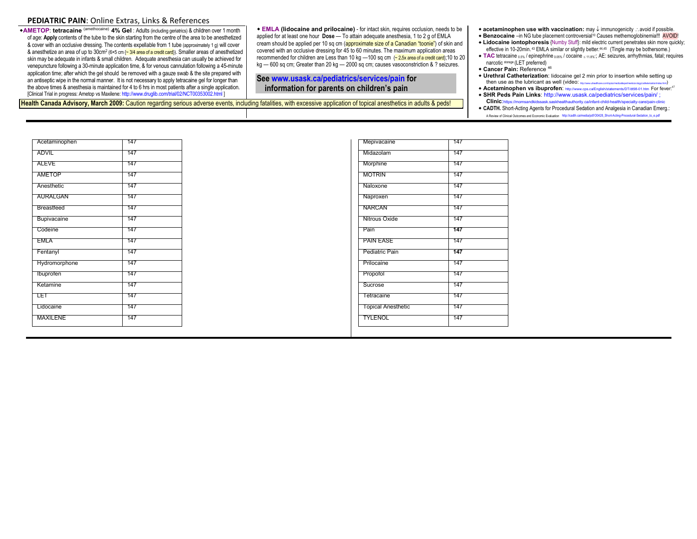### **PEDIATRIC PAIN**: Online Extras, Links & References

**AMETOP**: **tetracaine** (amethocaine) **4% Gel** : Adults (including geriatrics) & children over 1 month of age: **Apply** contents of the tube to the skin starting from the centre of the area to be anesthetized & cover with an occlusive dressing. The contents expellable from 1 tube (approximately 1 g) will cover & anesthetize an area of up to 30cm<sup>2</sup> (6×5 cm {~ 3/4 area of a credit card}). Smaller areas of anesthetized skin may be adequate in infants & small children. Adequate anesthesia can usually be achieved for venepuncture following a 30-minute application time, & for venous cannulation following a 45-minute application time; after which the gel should be removed with a gauze swab & the site prepared with an antiseptic wipe in the normal manner. It is not necessary to apply tetracaine gel for longer than the above times & anesthesia is maintained for 4 to 6 hrs in most patients after a single application. [Clinical Trial in progress: Ametop vs Maxilene[: http://www.druglib.com/trial/02/NCT00353002.html \]](http://www.druglib.com/trial/02/NCT00353002.html)

 **EMLA (lidocaine and prilocaine)** - for intact skin, requires occlusion, needs to be applied for at least one hour **Dose** — To attain adequate anesthesia, 1 to 2 g of EMLA cream should be applied per 10 sq cm (approximate size of a Canadian "toonie") of skin and covered with an occlusive dressing for 45 to 60 minutes. The maximum application areas recommended for children are Less than 10 kg —100 sq cm {~ 2**.**5x area of a credit card};10 to 20 kg — 600 sq cm; Greater than 20 kg — 2000 sq cm; causes vasoconstriction & ? seizures.

## **See [www.usask.ca/pediatrics/services/pain](http://www.usask.ca/pediatrics/services/pain) for information for parents on children's pain**

**Health Canada Advisory, March 2009:** Caution regarding serious adverse events, including fatalities, with excessive application of topical anesthetics in adults & peds!

- ◆ **acetaminophen use with vaccination:** may ↓ immunogenicity  $\therefore$  avoid if possible.
- ◆ **Benzocaine** –in NG tube placement controversial<sup>10</sup> Causes methemoglobinemia!!! AVOID!
- **Lidocaine iontophoresis** {Numby Stuff}: mild electric current penetrates skin more quickly; effective in 10-20min. 43 EMLA similar or slightly better. 44,45 (Tingle may be bothersome.)
- **TAC** tetracaine 0.5% / epinephrine 0.05% / cocaine  $\leq$  11.8%; AE: seizures, arrhythmias, fatal; requires narcotic storage (LET preferred)
- **Cancer Pain:** Reference <sup>46</sup>
- **Urethral Catheterization**: lidocaine gel 2 min prior to insertion while setting up then use as the lubricant as well (video:  $_{\text{max}}$
- **+ Acetaminophen vs ibuprofen:** <http://www.cps.ca/English/statements/DT/dt98-01.htm>For fever:<sup>47</sup> **SHR Peds Pain Links**[: http://www.usask.ca/pediatrics/services/pain/ ;](http://www.usask.ca/pediatrics/services/pain/)
- **Clinic**:https://momsandkidssask.saskhealthauthority.ca/infant-child-health/specialty-care/pain-clinic **CADTH.** Short-Acting Agents for Procedural Sedation and Analgesia in Canadian Emerg.: A Review of Clinical Outcomes and Economic Evaluation [http://cadth.ca/media/pdf/O0428\\_Short-Acting-Procedural-Sedation\\_to\\_e.pdf](http://cadth.ca/media/pdf/O0428_Short-Acting-Procedural-Sedation_to_e.pdf)

| Acetaminophen   | 147 |  |
|-----------------|-----|--|
| ADVIL           | 147 |  |
| ALEVE           | 147 |  |
| AMETOP          | 147 |  |
| Anesthetic      | 147 |  |
| <b>AURALGAN</b> | 147 |  |
| Breastfeed      | 147 |  |
| Bupivacaine     | 147 |  |
| Codeine         | 147 |  |
| <b>EMLA</b>     | 147 |  |
| Fentanyl        | 147 |  |
| Hydromorphone   | 147 |  |
| Ibuprofen       | 147 |  |
| Ketamine        | 147 |  |
| LET             | 147 |  |
| Lidocaine       | 147 |  |
| MAXILENE        | 147 |  |
|                 |     |  |

| Mepivacaine               | 147 |  |
|---------------------------|-----|--|
| Midazolam                 | 147 |  |
| Morphine                  | 147 |  |
| <b>MOTRIN</b>             | 147 |  |
| Naloxone                  | 147 |  |
| Naproxen                  | 147 |  |
| <b>NARCAN</b>             | 147 |  |
| Nitrous Oxide             | 147 |  |
| Pain                      | 147 |  |
| <b>PAIN EASE</b>          | 147 |  |
| Pediatric Pain            | 147 |  |
| Prilocaine                | 147 |  |
| Propofol                  | 147 |  |
| Sucrose                   | 147 |  |
| Tetracaine                | 147 |  |
| <b>Topical Anesthetic</b> | 147 |  |
| TYLENOL                   | 147 |  |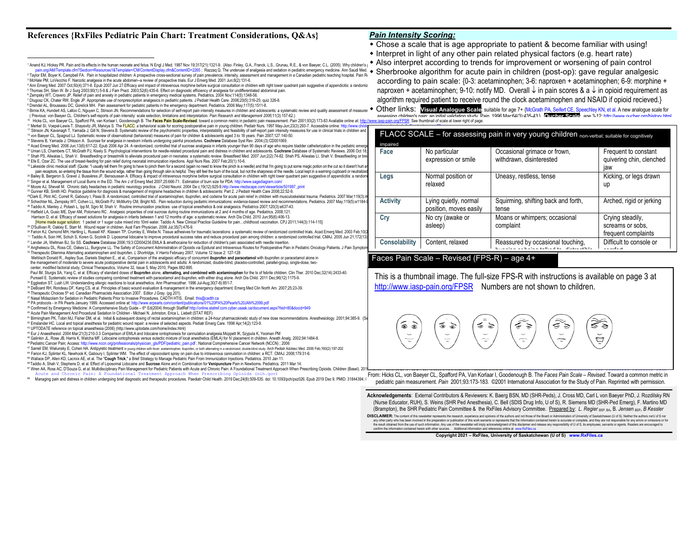### **References {RxFiles Pediatric Pain Chart: Treatment Considerations, Q&As}**

- *Pain Intensity Scoring:*
- Chose a scale that is age appropriate to patient & become familiar with using!
- Interpret in light of any other pain related physical factors (e.g. heart rate)
- Also interpret according to trends for improvement o[r worsening of pain control](http://www.iasp-pain.org/AM/Template.cfm?Section=Resources1&Template=/CM/ContentDisplay.cfm&ContentID=2265)

1 Anand KJ, Hickey PR. Pain and its effects in the human neonate and fetus. N Engl J Med. 1987 Nov 19;317(21):1321-9. {Also: Finley, G.A., Franck, L.S., Grunau, R.E., & von Baeyer, C.L. (2005). Why children's | Y NOU INCE 2 Taylor EM, Boyer K, Campbell FA. Pain in hospitalized children: A prospective cross-sectional survey of pain prevalence, intensity, assessment and management in a Canadian pediatric teaching hospital. Pain Research Art C Sherbrooke algorithm for acute pain in children (post-op): gave regular analgesic according to pain scale: {0-3: acetaminophen; 3-6: naproxen + acetaminophen; 6-9: morphine +

3 McHale PM, LoVecchio F. Narcotic analgesia in the acute abdomen--a review of prospective trials. Eur J Emerg Med. 2001 Jun;8(2):131-6. 4 Ann Emerg Med. 2007 Oct;50(4):371-8. Epub 2007 Jun 27.Efficacy and impact of intravenous morphine before surgical consultation in children with right lower quadrant pain suggestive of appendicitis: a randomiz and the con ° Thomas SH, Silen W. Br J Surg 2003;90(1):5-9.& J Fam Pract. 2003;52(6):435-6. Effect on diagnostic efficiency of analgesia for undifferentiated abdominal pain.<br>◎ Zempsky WT, Cravero JP. Relief of pain and anxiety in pe

late.cfm?Section=Resources1&Template=/CM/ContentDisplay.cfm&ContentID=2265 ; Razzaq Q. The underuse of analgesia and sedation in pediatric emergency medicine. Ann Saudi Med.

- 
- 7 Dlugosz CK, Chater RW, Engle JP. Appropriate use of nonprescription analgesics in pediatric patients. J Pediatr Health Care. 2006;20(5):316-25; quiz 326-8. 8 Drendel AL, Brousseau DC, Gorelick MH. Pain assessment for pediatric patients in the emergency department. Pediatrics. 2006 May;117(5):1511-8.

<sup>9</sup> Birnie KA, Hundert AS, Lalloo C, Nguyen C, Stinson JN. Recommendations for selection of self-report pain intensity measures in children and adolescents: a systematic review and quality assessment of measure of measure ( Previous: von Baeyer CL. Children's self-reports of pain intensity: scale selection, limitations and interpretation. *Pain Research and Management 2006*;11(3):157-62.)

- Hicks CL, von Baeyer CL, Spafford PA, van Kortaari, Goodenough B. The Faces Pain Scale-Revised: toward a common metric in pediatric aid measurement. Pain 2001;93(2):173-83 Available online at: http://www.iasp-pain.org/FP

<sup>11</sup> Merkel SI, Voepel-Lewis T, Shayevitz JR, Malviya S. The FLACC: a behavioral scale for scoring postoperative pain in young children. Pediatr Nurs. 1997 May-Jun;23(3):293-7. Accessible online: http://w <sup>12</sup> Stinson JN, Kavanagh T, Yamada J, Gill N, Stevens B. Systematic review of the psychometric properties, interpretability and feasibility of self-report pain intensity measures for use in clinical trials in children and <sup>13</sup> von Baeyer CL, Spagrud LJ. Systematic review of observational (behavioral) measures of pain for children & adolescents aged 3 to 18 years. Pain 2007;127:140-50.

<sup>14</sup> Stevens B, Yamada J, Ohlsson A. Sucrose for analgesia in newborn infants undergoing painful procedures. **Cochrane** Database Syst Rev. 2004;(3):CD001069.

15 Acad Emero Med. 2006 Jun:13/6):617-22. Epub 2006 Apr 24. A randomized, controlled trial of sucrose analgesia in infants younger than 90 days of age who require bladder catheterization in the pediatric emer <sup>16</sup> Uman LS, Chambers CT, McGrath PJ, Kisely S. Psychological interventions for needle-related procedural pain and distress in children and adolescents. Cochrane Database of Systematic Reviews. 2006 Oct 18 17 Shah PS, Aliwalas L, Shah V. Breastfeeding or breastmilk to alleviate procedural pain in neonates: a systematic review. Breastfeed Med. 2007 Jun;2(2):74-82. Shah PS, Aliwalas LI, Shah V. Breastfeeding or b <sup>18</sup> Efe E, Ozer ZC. The use of breast-feeding for pain relief during neonatal immunization injections. Appl Nurs Res. 2007 Feb;20(1):10-6.

<sup>19</sup> Lakeside clinic medical staff: {Quote: "I usually tell them I'm going to have to pinch them for a second (again no need to know the pinch is a needle) and that I'm going to put some magic potion on the cut so it doesn pain receptors, so entering the tissue from the wound edge, rather than going through skin is helpful. They still feel the burn of the local, but not the sharpness of the needle. Local kept in a warming cupboard or neutral 20 Bailey B, Bergeron S, Gravel J, Bussières JF, Bensoussan A. Efficacy & impact of intravenous morphine before surgical consultation in children with right lower quadrant pain suggestive of appendicitis: a randor

<sup>21</sup> Singer et al. Management of Local Burns in the ED. The Am J of Emerg Med 2007;25:666-71. Estimation of burn size for PD[A: http://www.sagediagram.com/](http://www.sagediagram.com/)  <sup>22</sup> Moore AJ, Shevell M. Chronic daily headaches in pediatric neurology practice. J Child Neurol. 2004 De c;19(12):925-[9.http://www.medscape.com/viewarticle/501997\\_print](http://www.medscape.com/viewarticle/501997_print) 

20 Gunner KB, Smith HD. Practice guideline for diagnosis & management of migraine headaches in children & adolescents: Part 2. J Pediatr Health Care 2008;22:52-9.<br>24Clark E, Plint AC, Correll R, Gaboury I, Passi B. A rando 25 Schechter NL, Zempsky WT, Cohen LL, McGrath PJ, McMurtry CM, Bright NS. Pain reduction during pediatric immunizations: evidence-based review and recommendations. Pediatrics. 2007 May;119(5):e1184-<sup>26</sup> Taddio A, Manley J, Potash L, Ipp M, Sgro M, Shah V. Routine immunization practices: use of topical anesthetics & oral analgesics. Pediatrics 2007;120(3):e637-43.

<sup>27</sup> Hatfield LA, Gusic ME, Dyer AM, Polomano RC. Analgesic properties of oral sucrose during routine immunizations at 2 and 4 months of age. Pediatrics. 2008;121.

 Harrison D, et al. Efficacy of sweet solutions for analgesia in infants between 1 and 12 months of age: a systematic review. Arch Dis Child. 2010 Jun;95(6):406-13. [Home made sugar solution: 1 packet or 1 sugar cube mixed into 10ml water. Taddio A. New Clinical Practice Guideline for pain...childhood vaccination. CPJ 2011;144(3):114-115] <sup>28</sup> O'Sullivan R, Oakley E, Starr M. Wound repair in children. Aust Fam Physician. 2006 Jul;35(7):476-9.

<sup>29</sup> Farion KJ, Osmond MH, Hartling L, Russell KF, Klassen TP, Crumley E, Wiebe N, Tissue adhesives for traumatic lacerations: a systematic review of randomized controlled trials. Acad Emerg Med. 2003 Feb:10(

<sup>30</sup> Taddio A, Soin HK, Schuh S, Koren G, Scolnik D. Liposomal lidocaine to improve procedural success rates and reduce procedural pain among children: a randomized controlled trial. CMAJ. 2005 Jun 21;172(13):1731-1731-5. <sup>31</sup> Lander JA, Weltman BJ, So SS. **Cochrane** Database 2006;19;3:CD004236.EMLA & amethocaine for reduction of children's pain associated with needle insertion.

<sup>32</sup> Anghelescu DL, Ross CE, Oakes LL, Burgoyne LL. The Safety of Concurrent Administration of Opioids via Epidural and Intravenous Routes for Postoperative Pain in Pediatric Oncology Patients. J Pain Sympto

<sup>33</sup> Therapeutic Dilemma Alternating acetaminophen and ibuprofen. *L Shortridge, V Harris* February 2007, Volume 12 Issue 2: 127-128 Mehlisch Donald R., Aspley Sue, Daniels Stephen E., et al., Comparison of the analgesic efficacy of concurrent ibuprofen and paracetamol with ibuprofen or paracetamol alone in<br>the management of moderate to severe acute pos

center, modified factorial study, Clinical Therapeutics, Volume 32, Issue 5, May 2010, Pages 882-895.

 Paul IM, Sturgis SA, Yang C, et al. Efficacy of standard doses of **Ibuprofen** alone, **alternating, and combined with acetaminophen** for the tx of febrile children. Clin Ther. 2010 Dec;32(14):2433-40. Purssell E. Systematic review of studies comparing combined treatment with paracetamol and ibuprofen, with either drug alone. Arch Dis Child. 2011 Dec;96(12):1175-9. <sup>34</sup> Eggleston ST, Lush LW. Understanding allergic reactions to local anesthetics. Ann Pharmacother. 1996 Jul-Aug;30(7-8):851-7.

<sup>35</sup> DeBoard RH, Rondeau DF, Kang CS, et al. Principles of basic wound evaluation & management in the emergency department. Emerg Med Clin North Am. 2007;25:23-39.

<sup>36</sup> Therapeutic Choices 5th ed. Canadian Pharmacists Association 2007. Editor J Gray. (pg 201).

 $\overline{a}$ 

<sup>37</sup> Nasal Midazolam for Sedation in Pediatric Patients Prior to Invasive Procedures. CADTH HTIS. Emai[l: this@cadth.ca](mailto:this@cadth.ca) 

<sup>38</sup> PA protocols - in PA Pearls January 1999. Accessed online a[t: http://www.erpearls.com/content/publications/01%20PA%20Pearls%20JAN%2099.pdf](http://www.erpearls.com/content/publications/01%20PA%20Pearls%20JAN%2099.pdf) 

<sup>39</sup> Confirmed by Emergency Medicine: A Comprehensive Study Guide – 6<sup>th</sup> Ed(2004) through StatR[ef http://online.statref.com.cyber.usask.ca/document.aspx?fxid=80&docid=949](http://online.statref.com.cyber.usask.ca/document.aspx?fxid=80&docid=949)

<sup>40</sup> Acute Pain Management And Procedural Sedation In Children - Michael N. Johnston, Erica L. Liebelt (STAT REF)

41 Birmingham PK, Tobin MJ, Fisher DM, et al. Initial & subsequent dosing of rectal acetaminophen in children: a 24-hour pharmacokinetic study of new dose recommendations. Anesthesiology. 2001;94:385-9. { <sup>42</sup> Emslander HC. Local and topical anesthesia for pediatric wound repair: a review of selected aspects. Pediatr Emerg Care. 1998 Apr;14(2):123-9.

<sup>43</sup> UPTODATE reference on topical anaesthesia (2006) [\(http://www.uptodate.com/home/index.html\)](http://www.uptodate.com/home/index.html) 

<sup>44</sup> Eur J Anaesthesiol. 2004 Mar;21(3):210-3.3 Comparison of EMLA and lidocaine iontophoresis for cannulation analgesia.Moppett IK, Szypula K, Yeoman PM

<sup>45</sup> Galinkin JL, Rose JB, Harris K, Watcha MF. Lidocaine iontophoresis versus eutectic mixture of local anesthetics (EMLA) for IV placement in children. Anesth Analg. 2002;94:1484-8.

<sup>46</sup>Pediatric Cancer Pain; Access: [http://www.nccn.org/professionals/physician\\_gls/PDF/pediatric\\_pain.pdf ;](http://www.nccn.org/professionals/physician_gls/PDF/pediatric_pain.pdf) National Comprehensive Cancer Network (NCCN) ; 2006 <sup>47</sup> Sarrell EM, Wielunsky E, Cohen HA. Antipyretic treatment in young children with fever: acetaminophen, ibuprofen, or both alternating in a randomized, double-blind study. Arch Pediatr Adolesc Med. 2006 Feb;160(2):197-202

<sup>64</sup> Farion KJ, Splinter KL, Newhook K, Gaboury I, Splinter WM. The effect of vapocoolant spray on pain due to intravenous cannulation in children: a RCT. CMAJ. 2008;179:31-6.

<sup>65</sup> Wallace DP, Allen KD, Lacroix AE, et al. The "**Cough Trick**," a Brief Strategy to Manage Pediatric Pain From Immunization Injections. Pediatrics. 2010 Jan 11.

<sup>66</sup>Taddio A, Shah V, Stephens D, et al. Effect of Liposomal Lidocaine and **Sucrose** Alone and in Combination for **Venipuncture** Pain in Newborns. Pediatrics. 2011 Mar 14. 67 Wren AA, Ross AC, D'Souza G, et al. [Multidisciplinary Pain Management for Pediatric Patients with](https://www.ncbi.nlm.nih.gov/pmc/articles/PMC6406753/) Acute and Chronic Pain: A Foundational Treatment Approach When Prescribing Opioids. Children (Basel). 20

Acute and Chronic Pain: A Foundational Treatment Approach When Prescribing Opioids (nih.g

68 Managing pain and distress in children undergoing brief diagnostic and therapeutic procedures. Paediatr Child Health. 2019 Dec;24(8):509-535. doi: 10.1093/pch/pxz026. Epub 2019 Dec 9. PMID: 31844394; I

algorithm required patient to receive round the clock acetaminophen and NSAID if opioid recieved.} Other links: **Visual Analogue Scale**: suitable for age 7+ [{McGrath PA, Seifert CE, Speechley KN, et al. A](http://www.ncbi.nlm.nih.gov/pubmed/8783307?ordinalpos=3&itool=EntrezSystem2.PEntrez.Pubmed.Pubmed_ResultsPanel.Pubmed_RVDocSum) new analogue scale for assessing children's pain: an initial validation study. Pain. 1996 Mar;64(3):435-43.} **Oucher Scale**: age 3-12[: http://www.oucher.org/history.html](http://www.oucher.org/history.html)

naproxen + acetaminophen; 9-10: notify MD. Overall  $\downarrow$  in pain scores & a  $\downarrow$  in opioid requirement as

| FLACC SCALE - for assessing pain in very young children non-verbal; suitable for cognitively |                                                 |                                                                                       |                                                             |
|----------------------------------------------------------------------------------------------|-------------------------------------------------|---------------------------------------------------------------------------------------|-------------------------------------------------------------|
| impaired<br>Face                                                                             | No particular<br>expression or smile            | Occasional grimace or frown,<br>withdrawn, disinterested                              | Frequent to constant<br>quivering chin, clenched<br>law     |
| Legs                                                                                         | Normal position or<br>relaxed                   | Uneasy, restless, tense                                                               | Kicking, or legs drawn<br>up                                |
| <b>Activity</b>                                                                              | Lying quietly, normal<br>position, moves easily | Squirming, shifting back and forth,<br>tense                                          | Arched, rigid or jerking                                    |
| Cry                                                                                          | No cry (awake or<br>asleep)                     | Moans or whimpers; occasional<br>complaint                                            | Crying steadily,<br>screams or sobs.<br>frequent complaints |
| <b>Consolability</b>                                                                         | Content, relaxed                                | Reassured by occasional touching,<br>e a completa a construír a construír a construír | Difficult to console or                                     |

# Faces Pain Scale – Revised (FPS-R) – age 4+

This is a thumbnail image. The full-size FPS-R with instructions is available on page 3 at <http://www.iasp-pain.org/FPSR>Numbers are not shown to children.

≤ 乏 ≤ € '≧  $\circledast$ ۰  $\tilde{=}$ ğ

From: Hicks CL, von Baeyer CL, Spafford PA, Van Korlaar I, Goodenough B. The *Faces Pain Scale – Revised*. Toward a common metric in pediatric pain measurement. *Pain* 2001;93:173-183. ©2001 International Association for the Study of Pain. Reprinted with permission.

**Acknowledgements**: External Contributors & Reviewers: K. Baerg BSN, MD (SHR-Peds), J. Cross MD, Carl L von Baeyer PhD, J. Rozdilsky RN (Nurse Educator, RUH), S. Weins (SHR Ped Anesthesia), C. Bell (SDIS Drug Info, U of S), R. Siemens MD (SHR-Ped Emerg), F. Martino MD (Brampton), the SHR Pediatric Pain Committee & the RxFiles Advisory Committee. Prepared by: L. Regier<sub>BSP, BA</sub>, B. Jensen<sub>BSP</sub>, B Kessler

DISCLAIMER: The content of this newsletter represents the research, experience and opinions of the authors and not those of the Board or Administration of University of Saskatchewan (U of S). Neither the authors notU of S any other party who has been involved in the preparation or publistion of this work warrants or represents that the information contained herein is accurate or complete, and they are not responsible for any exponsible of t confirm the information contained herein with other sources. Additional information and references online at www.RxFiles.ca

**Copyright 2021 – RxFiles, University of Saskatchewan (U of S) [www.RxFiles.ca](http://www.rxfiles.ca/)**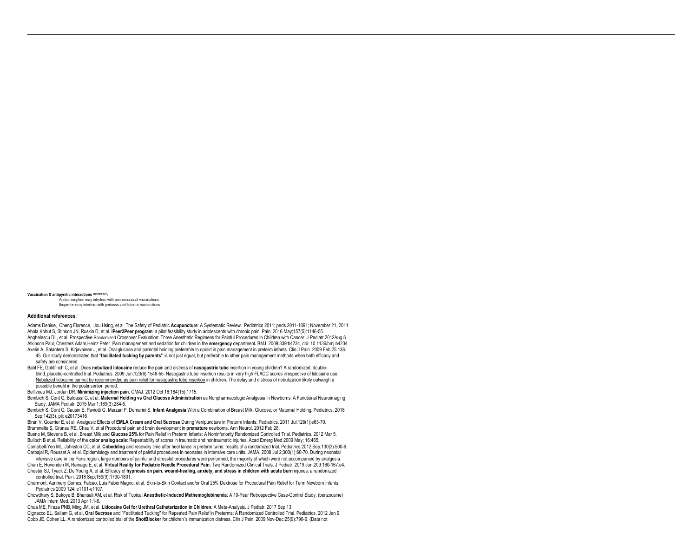#### **Vaccination & antipyretic interactions Wysocki 2017:**

- Acetaminophen may interfere with pneumococcal vaccinations

- Ibuprofen may interfere with pertussis and tetanus vaccinations

#### **Additional references**:

 $\overline{a}$ 

Adams Denise, Cheng Florence, Jou Hsing, et al. The Safety of Pediatric **Acupuncture**: A Systematic Review. Pediatrics 2011; peds.2011-1091; November 21, 2011 Ahola Kohut S, Stinson JN, Ruskin D, et al. **iPeer2Peer program**: a pilot feasibility study in adolescents with chronic pain. Pain. 2016 May;157(5):1146-55. Anghelescu DL, et al. Prospective Randomized Crossover Evaluation: Three Anesthetic Regimens for Painful Procedures in Children with Cancer. J Pediatr.2012Aug 8. Atkinson Paul, Chesters Adam,Heinz Peter. Pain management and sedation for children in the **emergency** department**.** BMJ 2009;339:b4234, doi: 10.1136/bmj.b4234 Axelin A, Salantera S, Kirjavainen J, et al. Oral glucose and parental holding preferable to opioid in pain management in preterm infants. Clin J Pain. 2009 Feb;25:138-

 45. Our study demonstrated that ''**facilitated tucking by parents''** is not just equal, but preferable to other pain management methods when both efficacy and safety are considered.

Babl FE, Goldfinch C, et al. Does **nebulized lidocaine** reduce the pain and distress of **nasogastric tube** insertion in young children? A randomized, double blind, placebo-controlled trial. Pediatrics. 2009 Jun;123(6):1548-55. Nasogastric tube insertion results in very high FLACC scores irrespective of lidocaine use. Nebulized lidocaine cannot be recommended as pain relief for nasogastric tube insertion in children. The delay and distress of nebulization likely outweigh a possible benefit in the postinsertion period.

Belliveau MJ, Jordan DR. **Minimizing injection pain**. CMAJ. 2012 Oct 16;184(15):1715.

Bembich S, Cont G, Baldassi G, et al. **Maternal Holding vs Oral Glucose Administration** as Nonpharmacologic Analgesia in Newborns: A Functional Neuroimaging Study. JAMA Pediatr. 2015 Mar 1;169(3):284-5.

Bembich S, Cont G, Causin E, Paviotti G, Marzari P, Demarini S. **Infant Analgesia** With a Combination of Breast Milk, Glucose, or Maternal Holding. Pediatrics. 2018 Sep;142(3). pii: e20173416

Biran V, Gourrier E, et al. Analgesic Effects of **EMLA Cream and Oral Sucrose** During Venipuncture in Preterm Infants. Pediatrics. 2011 Jul;128(1):e63-70. Brummelte S, Grunau RE, Chau V, et al Procedural pain and brain development in **premature** newborns. Ann Neurol. 2012 Feb 28. Bueno M, Stevens B, et al. Breast Milk and **Glucose 25%** for Pain Relief in Preterm Infants: A Noninferiority Randomized Controlled Trial. Pediatrics. 2012 Mar 5. Bulloch B et al. Reliability of the **color analog scale**: Repeatability of scores in traumatic and nontraumatic injuries. Acad Emerg Med 2009 May; 16:465. Campbell-Yeo ML, Johnston CC, et al. **Cobedding** and recovery time after heel lance in preterm twins: results of a randomized trial. Pediatrics.2012 Sep;130(3):500-6. Carbajal R, Rousset A, et al. Epidemiology and treatment of painful procedures in neonates in intensive care units. JAMA. 2008 Jul 2;300(1):60-70. During neonatal

 intensive care in the Paris region, large numbers of painful and stressful procedures were performed, the majority of which were not accompanied by analgesia. Chan E, Hovenden M, Ramage E, et al. **Virtual Reality for Pediatric Needle Procedural Pain**: Two Randomized Clinical Trials. J Pediatr. 2019 Jun;209:160-167.e4. Chester SJ, Tyack Z, De Young A, et al. Efficacy of **hypnosis on pain, wound-healing, anxiety, and stress in children with acute burn** injuries: a randomized controlled trial. Pain. 2018 Sep;159(9):1790-1801.

Chermont, Aurimery Gomes, Falcao, Luis Fabio Magno, et al. Skin-to-Skin Contact and/or Oral 25% Dextrose for Procedural Pain Relief for Term Newborn Infants. Pediatrics 2009 124: e1101-e1107.

Chowdhary S, Bukoye B, Bhansali AM, et al. Risk of Topical **Anesthetic-Induced Methemoglobinemia**: A 10-Year Retrospective Case-Control Study. (benzocaine) JAMA Intern Med. 2013 Apr 1:1-6.

Chua ME, Firaza PNB, Ming JM, et al. **Lidocaine Gel for Urethral Catheterization in Children**: A Meta-Analysis. J Pediatr. 2017 Sep 13. Cignacco EL, Sellam G, et al. **Oral Sucrose** and "Facilitated Tucking" for Repeated Pain Relief in Preterms: A Randomized Controlled Trial. Pediatrics. 2012 Jan 9. Cobb JE, Cohen LL. A randomized controlled trial of the **ShotBlocker** for children`s immunization distress. Clin J Pain. 2009 Nov-Dec;25(9):790-6. (Data not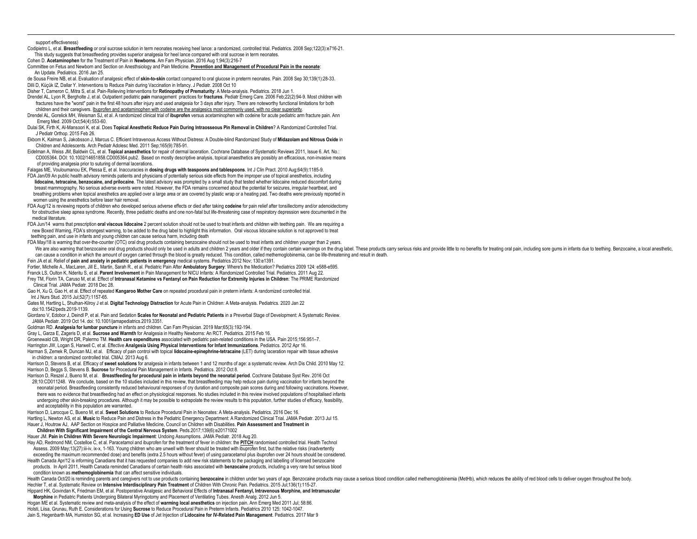#### support effectiveness)

 $\overline{a}$ 

- Codipietro L, et al. **Breastfeeding** or oral sucrose solution in term neonates receiving heel lance: a randomized, controlled trial. Pediatrics. 2008 Sep;122(3):e716-21. This study suggests that breastfeeding provides superior analgesia for heel lance compared with oral sucrose in term neonates.
- Cohen D. **Acetaminophen** for the Treatment of Pain in **Newborns**. Am Fam Physician. 2016 Aug 1;94(3):216-7
- Committee on Fetus and Newborn and Section on Anesthsiology and Pain Medicine. **Prevention and Management of Procedural Pain in the neonate**: An Update. Pediatrics. 2016 Jan 25.
- de Sousa Freire NB, et al. Evaluation of analgesic effect of **skin-to-skin** contact compared to oral glucose in preterm neonates. Pain. 2008 Sep 30;139(1):28-33. Dilli D, Küçük IZ, Dallar Y. Interventions to Reduce Pain during Vaccination in Infancy. J Pediatr. 2008 Oct 10
- Disher T, Cameron C, Mitra S, et al. Pain-Relieving Interventions for **Retinopathy of Prematurity**: A Meta-analysis. Pediatrics. 2018 Jun 1.
- Drendel AL, Lyon R, Bergholte J, et al. Outpatient pediatric **pain** management practices for **fractures**. Pediatr Emerg Care. 2006 Feb;22(2):94-9. Most children with fractures have the "worst" pain in the first 48 hours after injury and used analgesia for 3 days after injury. There are noteworthy functional limitations for both children and their caregivers. Ibuprofen and acetaminophen with codeine are the analgesics most commonly used, with no clear superiority.
- Drendel AL, Gorelick MH, Weisman SJ, et al. A randomized clinical trial of **ibuprofen** versus acetaminophen with codeine for acute pediatric arm fracture pain. Ann Emerg Med. 2009 Oct;54(4):553-60.
- Dulai SK, Firth K, Al-Mansoori K, et al. Does **Topical Anesthetic Reduce Pain During Intraosseous Pin Removal in Children**? A Randomized Controlled Trial. J Pediatr Orthop. 2015 Feb 26.
- Ekbom K, Kalman S, Jakobsson J, Marcus C. Efficient Intravenous Access Without Distress: A Double-blind Randomized Study of **Midazolam and Nitrous Oxide** in Children and Adolescents. Arch Pediatr Adolesc Med. 2011 Sep;165(9):785-91.
- Eidelman A, Weiss JM, Baldwin CL, et al. **Topical anaesthetics** for repair of dermal laceration. Cochrane Database of Systematic Reviews 2011, Issue 6. Art. No.: CD005364. DOI: 10.1002/14651858.CD005364.pub2. Based on mostly descriptive analysis, topical anaesthetics are possibly an efficacious, non-invasive means of providing analgesia prior to suturing of dermal lacerations.
- Falagas ME, Vouloumanou EK, Plessa E, et al. Inaccuracies in **dosing drugs with teaspoons and tablespoons**. Int J Clin Pract. 2010 Aug;64(9):1185-9. FDA Jan/09 An public health advisory reminds patients and physicians of potentially serious side effects from the improper use of topical anesthetics, including
- **lidocaine, tetracaine, benzocaine, and prilocaine**. The latest advisory was prompted by a small study that tested whether lidocaine reduced discomfort during breast mammography. No serious adverse events were noted. However, the FDA remains concerned about the potential for seizures, irregular heartbeat, and breathing problems when topical anesthetics are applied over a large area or are covered by plastic wrap or a heating pad. Two deaths were previously reported in women using the anesthetics before laser hair removal.
- FDA Aug/12 is reviewing reports of children who developed serious adverse effects or died after taking **codeine** for pain relief after tonsillectomy and/or adenoidectomy for obstructive slee[p apnea s](http://www.fda.gov/Safety/MedWatch/SafetyInformation/SafetyAlertsforHumanMedicalProducts/ucm315627.htm)yndrome. Recently, three pediatric deaths and one non-fatal but life-threatening case of respiratory depression were documented in the medical literature.
- FDA Jun/14 warns that prescription **oral viscous lidocaine** 2 percent solution should not be used to treat infants and children with teething pain. We are requiring a new Boxed Warning, FDA's strongest warning, to be added to the drug label to highlight this information. Oral viscous lidocaine solution is not approved to treat teething pain, and use in infants and young children can cause serious harm, including death
- FDA May/18 is warning that over-the-counter (OTC) oral drug products containing benzocaine should not be used to treat infants and children younger than 2 years.
- We are also warning that benzocaine oral drug products should only be used in adults and children 2 years and older if they contain certain warnings on the drug label. These products carry serious risks and provide little can cause a condition in which the amount of oxygen carried through the blood is greatly reduced. This condition, called methemoglobinemia, can be life-threatening and result in death.
- Fein JA et al. Relief of **pain and anxiety in pediatric patients in emergency** medical systems. Pediatrics 2012 Nov; 130:e1391.
- Fortier, Michelle A., MacLaren, Jill E., Martin, Sarah R., et al. Pediatric Pain After **Ambulatory Surgery**: Where's the Medication? Pediatrics 2009 124: e588-e595. Franck LS, Oulton K, Nderitu S, et al. **Parent Involvement** in Pain Management for NICU Infants: A Randomized Controlled Trial. Pediatrics. 2011 Aug 22. Frey TM, Florin TA, Caruso M, et al. Effect of **Intranasal Ketamine vs Fentanyl on Pain Reduction for Extremity Injuries in Children**: The PRIME Randomized
- Clinical Trial. JAMA Pediatr. 2018 Dec 28.
- Gao H, Xu G, Gao H, et al. Effect of repeated **Kangaroo Mother Care** on repeated procedural pain in preterm infants: A randomized controlled trial. Int J Nurs Stud. 2015 Jul;52(7):1157-65.
- Gates M, Hartling L, Shulhan-Kilroy J et al. **Digital Technology Distraction** for Acute Pain in Children: A Meta-analysis. Pediatrics. 2020 Jan 22 doi:10.1542/peds.2019-1139.
- Giordano V, Edobor J, Deindl P, et al. Pain and Sedation **Scales for Neonatal and Pediatric Patients** in a Preverbal Stage of Development: A Systematic Review. JAMA Pediatr. 2019 Oct 14. doi: 10.1001/jamapediatrics.2019.3351.
- Goldman RD. **Analgesia for lumbar puncture** in infants and children. Can Fam Physician. 2019 Mar;65(3):192-194.
- Gray L, Garza E, Zageris D, et al. **Sucrose and Warmth** for Analgesia in Healthy Newborns: An RCT. Pediatrics. 2015 Feb 16.
- Groenewald CB, Wright DR, Palermo TM. **Health care expenditures** associated with pediatric pain-related conditions in the USA. Pain 2015;156:951–7.
- Harrington JW, Logan S, Harwell C, et al. Effective **Analgesia Using Physical Interventions for Infant Immunizations**. Pediatrics. 2012 Apr 16.
- Harman S, Zemek R, Duncan MJ, et al. Efficacy of pain control with topical **lidocaine-epinephrine-tetracaine** (LET) during laceration repair with tissue adhesive in children: a randomized controlled trial. CMAJ. 2013 Aug 6.
- Harrison D, Stevens B, et al. Efficacy of **sweet solutions** for analgesia in infants between 1 and 12 months of age: a systematic review. Arch Dis Child. 2010 May 12. Harrison D, Beggs S, Stevens B. **Sucrose** for Procedural Pain Management in Infants. Pediatrics. 2012 Oct 8.
- Harrison D, Reszel J, Bueno M, et al. **Breastfeeding for procedural pain in infants beyond the neonatal period**. Cochrane Database Syst Rev. 2016 Oct
- 28;10:CD011248. We conclude, based on the 10 studies included in this review, that breastfeeding may help reduce pain during vaccination for infants beyond the neonatal period. Breastfeeding consistently reduced behavioural responses of cry duration and composite pain scores during and following vaccinations. However, there was no evidence that breastfeeding had an effect on physiological responses. No studies included in this review involved populations of hospitalised infants undergoing other skin-breaking procedures. Although it may be possible to extrapolate the review results to this population, further studies of efficacy, feasibility, and acceptability in this population are warranted.
- Harrison D, Larocque C, Bueno M, et al. **Sweet Solutions** to Reduce Procedural Pain in Neonates: A Meta-analysis. Pediatrics. 2016 Dec 16.
- Hartling L, Newton AS, et al. **Music** to Reduce Pain and Distress in the Pediatric Emergency Department: A Randomized Clinical Trial. JAMA Pediatr. 2013 Jul 15. Hauer J, Houtrow AJ, AAP Section on Hospice and Palliative Medicine, Council on Children with Disabilities. **Pain Assessment and Treatment in**
- **Children With Significant Impairment of the Central Nervous System**. Peds.2017;139(6):e20171002
- Hauer JM. **Pain in Children With Severe Neurologic Impairment**: Undoing Assumptions. JAMA Pediatr. 2018 Aug 20. Hay AD, Redmond NM, Costelloe C, et al. Paracetamol and ibuprofen for the treatment of fever in children: the **PITCH** randomised controlled trial. Health Technol
- Assess. 2009 May;13(27):iii-iv, ix-x, 1-163. Young children who are unwell with fever should be treated with ibuprofen first, but the relative risks (inadvertently
- exceeding the maximum recommended dose) and benefits (extra 2.5 hours without fever) of using paracetamol plus ibuprofen over 24 hours should be considered. Health Canada Apr/12 is informing Canadians that it has requested companies to add new risk statements to the packaging and labelling of licensed benzocaine
- products. In April 2011, Health Canada reminded Canadians of certain health risks associated with **benzocaine** products, including a very rare but serious blood condition known as **methemoglobinemia** that can affect sensitive individuals.
- Health Canada Oct/20 is reminding parents and caregivers not to use products containing benzocaine in children under two years of age. Benzocaine products may cause a serious blood condition called methermoglobinemia (MetH Hechler T, et al. Systematic Review on **Intensive Interdisciplinary Pain Treatment** of Children With Chronic Pain. Pediatrics. 2015 Jul;136(1):115-27.
- Hippard HK, Govindan K, Friedman EM, et al. Postoperative Analgesic and Behavioral Effects of **Intranasal Fentanyl, Intravenous Morphine, and Intramuscular**
- **Morphine** in Pediatric Patients Undergoing Bilateral Myringotomy and Placement of Ventilating Tubes. Anesth Analg. 2012 Jun 5. Hogan ME et al. Systematic review and meta-analysis of the effect of **warming local anesthetics** on injection pain. Ann Emerg Med 2011 Jul; 58:86. Holsti, Liisa, Grunau, Ruth E. Considerations for Using **Sucrose** to Reduce Procedural Pain in Preterm Infants. Pediatrics 2010 125: 1042-1047.
- Jain S, Hegenbarth MA, Humiston SG, et al. Increasing **ED Use** of Jet Injection of **Lidocaine for IV-Related Pain Management**. Pediatrics. 2017 Mar 9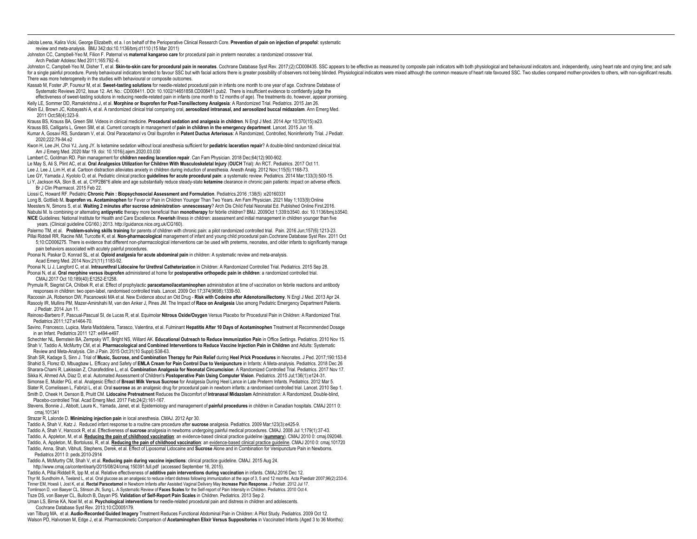Jalota Leena, Kalira Vicki, George Elizabeth, et a. l on behalf of the Perioperative Clinical Research Core. **Prevention of pain on injection of propofol**: systematic review and meta-analysis. BMJ 342:doi:10.1136/bmj.d1110 (15 Mar 2011)

Johnston CC, Campbell-Yeo M, Filion F. Paternal vs **maternal kangaroo care** for procedural pain in preterm neonates: a randomized crossover trial. Arch Pediatr Adolesc Med 2011;165:792–6.

 $\overline{a}$ 

Johnston C. Campbell-Yeo M. Disher T. et al. Skin-to-skin care for procedural pain in neonates. Cochrane Database Syst Rev. 2017:(2):CD008435. SSC appears to be effective as measured by composite pain indicators with both for a single painful procedure. Purely behavioural indicators tended to favour SSC but with facial actions there is greater possibility of observers not being blinded. Physiological indicators were mixed although the commo There was more heterogeneity in the studies with behavioural or composite outcomes.

- Kassab M, Foster JP, Foureur M, et al. **Sweet-tasting solutions** for needle-related procedural pain in infants one month to one year of age. Cochrane Database of Systematic Reviews 2012, Issue 12. Art. No.: CD008411. DOI: 10.1002/14651858.CD008411.pub2. There is insufficient evidence to confidently judge the effectiveness of sweet-tasting solutions in reducing needle-related pain in infants (one month to 12 months of age). The treatments do, however, appear promising.
- Kelly LE, Sommer DD, Ramakrishna J, et al. **Morphine or Ibuprofen for Post-Tonsillectomy Analgesia**: A Randomized Trial. Pediatrics. 2015 Jan 26. Klein EJ, Brown JC, Kobayashi A, et al. A randomized clinical trial comparing oral, **aerosolized intranasal, and aerosolized buccal midazolam**. Ann Emerg Med.
- 2011 Oct;58(4):323-9. Krauss BS, Krauss BA, Green SM. Videos in clinical medicine. **Procedural sedation and analgesia in children**. N Engl J Med. 2014 Apr 10;370(15):e23. Krauss BS, Calligaris L, Green SM, et al. Current concepts in management of **pain in children in the emergency department**. Lancet. 2015 Jun 18. Kumar A, Gosavi RS, Sundaram V, et al. Oral Paracetamol vs Oral Ibuprofen in **Patent Ductus Arteriosus**: A Randomized, Controlled, Noninferiority Trial. J Pediatr. 2020:222:20
- Kwon H, Lee JH, Choi YJ, Jung JY. Is ketamine sedation without local anesthesia sufficient for **pediatric laceration repair**? A double-blind randomized clinical trial. Am J Emerg Med. 2020 Mar 19. doi: 10.1016/j.ajem.2020.03.030
- Lambert C, Goldman RD. Pain management for **children needing laceration repair**. Can Fam Physician. 2018 Dec;64(12):900-902. Le May S, Ali S, Plint AC, et al. **Oral Analgesics Utilization for Children With Musculoskeletal Injury** (**OUCH** Trial): An RCT. Pediatrics. 2017 Oct 11. Lee J, Lee J, Lim H, et al. Cartoon distraction alleviates anxiety in children during induction of anesthesia. Anesth Analg. 2012 Nov;115(5):1168-73.
- Lee GY, Yamada J, Kyololo O, et al. Pediatric clinical practice **guidelines for acute procedural pain**: a systematic review. Pediatrics. 2014 Mar;133(3):500-15.
- Li Y, Jackson KA, Slon B, et. al, CYP2B6\*6 allele and age substantially reduce steady-state **ketamine** clearance in chronic pain patients: impact on adverse effects. Br J Clin Pharmacol. 2015 Feb 22.
- Liossi C, Howard RF. Pediatric **Chronic Pain : Biopsychosocial Assessment and Formulation**. Pediatrics.2016 ;138(5) :e20160331 Long B, Gottlieb M**. Ibuprofen vs. Acetaminophen** for Fever or Pain in Children Younger Than Two Years. Am Fam Physician. 2021 May 1;103(9):Online Meesters N, Simons S, et al. **Waiting 2 minutes after sucrose administration**- **unnescessary**? Arch Dis Child Fetal Neonatal Ed. Published Online First.2016. Nabulsi M. Is combining or alternating **antipyretic** therapy more beneficial than **monotherapy** for febrile children? BMJ. 2009Oct 1;339:b3540. doi: 10.1136/bmj.b3540. **NICE** Guidelines: National Institute for Health and Care Excellence. **Feverish** illness in children: assessment and initial management in children younger than five years. (Clinical guideline CG160.) 2013. http://guidance.nice.org.uk/CG160).
- Palermo TM, et al. **Problem-solving skills training** for parents of children with chronic pain: a pilot randomized controlled trial. Pain. 2016 Jun;157(6):1213-23.
- Pillai Riddell RR, Racine NM, Turcotte K, et al. **Non-pharmacological** management of infant and young child procedural pain.Cochrane Database Syst Rev. 2011 Oct 5;10:CD006275. There is evidence that different non-pharmacological interventions can be used with preterms, neonates, and older infants to significantly manage pain behaviors associated with acutely painful procedures.
- Poonai N, Paskar D, Konrad SL, et al. **Opioid analgesia for acute abdominal pain** in children: A systematic review and meta-analysis. Acad Emerg Med. 2014 Nov;21(11):1183-92.
- Poonai N, Li J, Langford C, et al. **Intraurethral Lidocaine for Urethral Catheterization** in Children: A Randomized Controlled Trial. Pediatrics. 2015 Sep 28. Poonai N, et al. **Oral morphine versus ibuprofen** administered at home for **postoperative orthopedic pain in children**: a randomized controlled trial. CMAJ.2017 Oct 10;189(40):E1252-E1258.
- Prymula R, Siegrist CA, Chlibek R, et al. Effect of prophylactic **paracetamol/acetaminophen** administration at time of vaccination on febrile reactions and antibody responses in children: two open-label, randomised controlled trials. Lancet. 2009 Oct 17;374(9698):1339-50.
- Racoosin JA, Roberson DW, Pacanowski MA et al. New Evidence about an Old Drug **Risk with Codeine after Adenotonsillectomy**. N Engl J Med. 2013 Apr 24. Rasooly IR, Mullins PM, Mazer-Amirshahi M, van den Anker J, Pines JM. The Impact of **Race on Analgesia** Use among Pediatric Emergency Department Patients. J Pediatr. 2014 Jun 11.
- Reinoso-Barbero F, Pascual-Pascual SI, de Lucas R, et al. Equimolar **Nitrous Oxide/Oxygen** Versus Placebo for Procedural Pain in Children: A Randomized Trial. Pediatrics 2011;127:e1464-70.
- Savino, Francesco, Lupica, Maria Maddalena, Tarasco, Valentina, et al. Fulminant **Hepatitis After 10 Days of Acetaminophen** Treatment at Recommended Dosage in an Infant. Pediatrics 2011 127: e494-e497.
- Schechter NL, Bernstein BA, Zempsky WT, Bright NS, Willard AK. **Educational Outreach to Reduce Immunization Pain** in Office Settings. Pediatrics. 2010 Nov 15. Shah V, Taddio A, McMurtry CM, et al. **Pharmacological and Combined Interventions to Reduce Vaccine Injection Pain in Children** and Adults: Systematic Review and Meta-Analysis. Clin J Pain. 2015 Oct;31(10 Suppl):S38-63.
- Shah SR, Kadage S, Sinn J. Trial of **Music, Sucrose, and Combination Therapy for Pain Relief** during **Heel Prick Procedures** in Neonates. J Ped. 2017;190:153-8 Shahid S, Florez ID, Mbuagbaw L. Efficacy and Safety of **EMLA Cream for Pain Control Due to Venipuncture** in Infants: A Meta-analysis. Pediatrics. 2018 Dec 26 Sharara-Chami R, Lakissian Z, Charafeddine L, et al. **Combination Analgesia for Neonatal Circumcision**: A Randomized Controlled Trial. Pediatrics. 2017 Nov 17. Sikka K, Ahmed AA, Diaz D, et al. Automated Assessment of Children's **Postoperative Pain Using Computer Vision**. Pediatrics. 2015 Jul;136(1):e124-31. Simonse E, Mulder PG, et al. Analgesic Effect of **Breast Milk Versus Sucrose** for Analgesia During Heel Lance in Late Preterm Infants. Pediatrics. 2012 Mar 5. Slater R, Cornelissen L, Fabrizi L, et al. Oral **sucrose** as an analgesic drug for procedural pain in newborn infants: a randomised controlled trial. Lancet. 2010 Sep 1.
- Smith D, Cheek H, Denson B, Pruitt CM. **Lidocaine Pretreatment** Reduces the Discomfort of **Intranasal Midazolam** Administration: A Randomized, Double-blind, Placebo-controlled Trial. Acad Emerg Med. 2017 Feb;24(2):161-167.
- Stevens, Bonnie J., Abbott, Laura K., Yamada, Janet, et al. Epidemiology and management of **painful procedures** in children in Canadian hospitals. CMAJ 2011 0: cmaj.101341
- Strazar R, Lalonde D. **Minimizing injection pain** in local anesthesia. CMAJ. 2012 Apr 30.
- Taddio A, Shah V, Katz J. Reduced infant response to a routine care procedure after **sucrose** analgesia. Pediatrics. 2009 Mar;123(3):e425-9. Taddio A, Shah V, Hancock R, et al. Effectiveness of **sucrose** analgesia in newborns undergoing painful medical procedures. CMAJ. 2008 Jul 1;179(1):37-43. Taddio, A, Appleton, M, et al. **Reducing the pain of childhood vaccination**: an evidence-based clinical practice guideline (**summary**). CMAJ 2010 0: cmaj.092048. Taddio, A, Appleton, M, Bortolussi, R, et al. **Reducing the pain of childhood vaccination**: an evidence-based clinical practice guideline. CMAJ 2010 0: cmaj.101720 Taddio, Anna, Shah, Vibhuti, Stephens, Derek, et al. Effect of Liposomal Lidocaine and **Sucrose** Alone and in Combination for Venipuncture Pain in Newborns. Pediatrics 2011 0: peds.2010-2914
- Taddio A, McMurtry CM, Shah V, et al. **Reducing pain during vaccine injections**: clinical practice guideline. CMAJ. 2015 Aug 24. [http://www.cmaj.ca/content/early/2015/08/24/cmaj.150391.full.pdf \(](http://www.cmaj.ca/content/early/2015/08/24/cmaj.150391.full.pdf)accessed September 16, 2015).
- Taddio A, Pillai Riddell R, Ipp M, et al. Relative effectiveness of **additive pain interventions during vaccination** in infants. CMAJ.2016 Dec 12. Thyr M, Sundholm A, Teeland L, et al. Oral glucose as an analgesic to reduce infant distress following immunization at the age of 3, 5 and 12 months. Acta Paediatr 2007;96(2):233-6. Tinner EM, Hoesli I, Jost K, et al. **Rectal Paracetamol** in Newborn Infants after Assisted Vaginal Delivery May **Increase Pain Response**. J Pediatr. 2012 Jul 17. Tomlinson D, von Baeyer CL, Stinson JN, Sung L. A Systematic Review of **Faces Scales** for the Self-report of Pain Intensity in Children. Pediatrics. 2010 Oct 4. Tsze DS, von Baeyer CL, Bulloch B, Dayan PS. **Validation of Self-Report Pain Scales** in Children. Pediatrics. 2013 Sep 2.
- Uman LS, Birnie KA, Noel M, et al. **Psychological interventions** for needle-related procedural pain and distress in children and adolescents. Cochrane Database Syst Rev. 2013;10:CD005179.
- van Tilburg MA, et al. **Audio-Recorded Guided Imagery** Treatment Reduces Functional Abdominal Pain in Children: A Pilot Study. Pediatrics. 2009 Oct 12. Walson PD, Halvorsen M, Edge J, et al. Pharmacokinetic Comparison of **Acetaminophen Elixir Versus Suppositories** in Vaccinated Infants (Aged 3 to 36 Months):